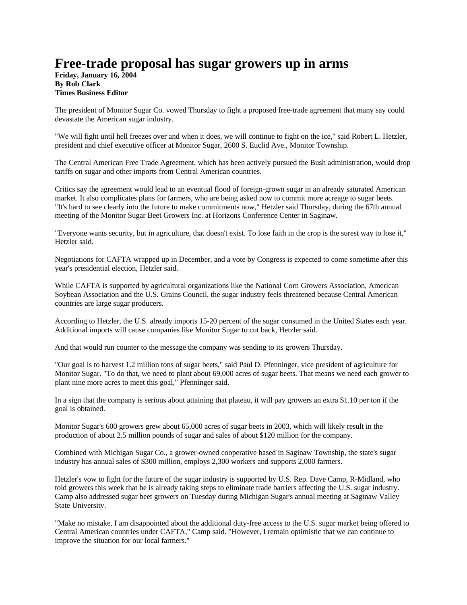## **Free-trade proposal has sugar growers up in arms**

**Friday, January 16, 2004 By Rob Clark Times Business Editor**

The president of Monitor Sugar Co. vowed Thursday to fight a proposed free-trade agreement that many say could devastate the American sugar industry.

"We will fight until hell freezes over and when it does, we will continue to fight on the ice," said Robert L. Hetzler, president and chief executive officer at Monitor Sugar, 2600 S. Euclid Ave., Monitor Township.

The Central American Free Trade Agreement, which has been actively pursued the Bush administration, would drop tariffs on sugar and other imports from Central American countries.

Critics say the agreement would lead to an eventual flood of foreign-grown sugar in an already saturated American market. It also complicates plans for farmers, who are being asked now to commit more acreage to sugar beets. "It's hard to see clearly into the future to make commitments now," Hetzler said Thursday, during the 67th annual meeting of the Monitor Sugar Beet Growers Inc. at Horizons Conference Center in Saginaw.

"Everyone wants security, but in agriculture, that doesn't exist. To lose faith in the crop is the surest way to lose it," Hetzler said.

Negotiations for CAFTA wrapped up in December, and a vote by Congress is expected to come sometime after this year's presidential election, Hetzler said.

While CAFTA is supported by agricultural organizations like the National Corn Growers Association, American Soybean Association and the U.S. Grains Council, the sugar industry feels threatened because Central American countries are large sugar producers.

According to Hetzler, the U.S. already imports 15-20 percent of the sugar consumed in the United States each year. Additional imports will cause companies like Monitor Sugar to cut back, Hetzler said.

And that would run counter to the message the company was sending to its growers Thursday.

"Our goal is to harvest 1.2 million tons of sugar beets," said Paul D. Pfenninger, vice president of agriculture for Monitor Sugar. "To do that, we need to plant about 69,000 acres of sugar beets. That means we need each grower to plant nine more acres to meet this goal," Pfenninger said.

In a sign that the company is serious about attaining that plateau, it will pay growers an extra \$1.10 per ton if the goal is obtained.

Monitor Sugar's 600 growers grew about 65,000 acres of sugar beets in 2003, which will likely result in the production of about 2.5 million pounds of sugar and sales of about \$120 million for the company.

Combined with Michigan Sugar Co., a grower-owned cooperative based in Saginaw Township, the state's sugar industry has annual sales of \$300 million, employs 2,300 workers and supports 2,000 farmers.

Hetzler's vow to fight for the future of the sugar industry is supported by U.S. Rep. Dave Camp, R-Midland, who told growers this week that he is already taking steps to eliminate trade barriers affecting the U.S. sugar industry. Camp also addressed sugar beet growers on Tuesday during Michigan Sugar's annual meeting at Saginaw Valley State University.

"Make no mistake, I am disappointed about the additional duty-free access to the U.S. sugar market being offered to Central American countries under CAFTA," Camp said. "However, I remain optimistic that we can continue to improve the situation for our local farmers."